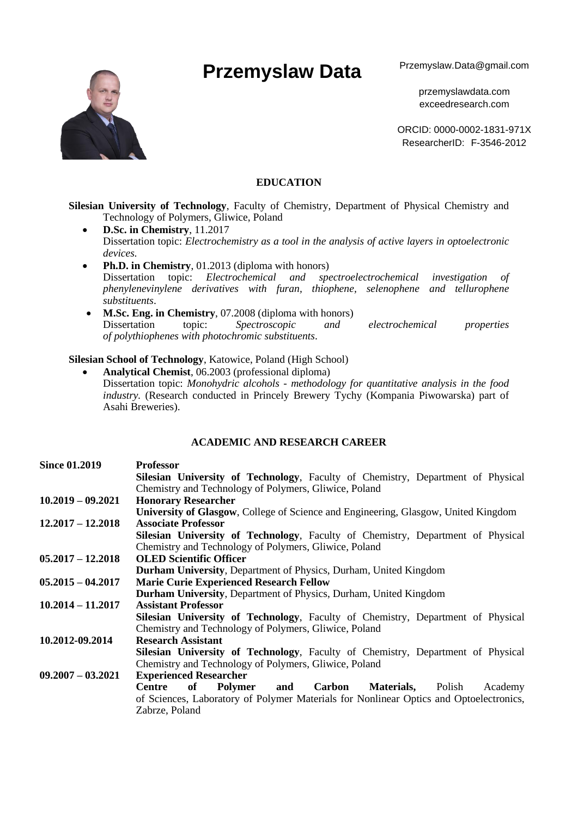# Przemyslaw Data Przemyslaw.Data@gmail.com



przemyslawdata.com exceedresearch.com

ORCID: 0000-0002-1831-971X ResearcherID: F-3546-2012

# **EDUCATION**

**Silesian University of Technology**, Faculty of Chemistry, Department of Physical Chemistry and Technology of Polymers, Gliwice, Poland

- **D.Sc. in Chemistry**, 11.2017 Dissertation topic: *Electrochemistry as a tool in the analysis of active layers in optoelectronic devices.*
- **Ph.D. in Chemistry**, 01.2013 (diploma with honors) Dissertation topic: *Electrochemical and spectroelectrochemical investigation of phenylenevinylene derivatives with furan, thiophene, selenophene and tellurophene substituents*.
- **M.Sc. Eng. in Chemistry**, 07.2008 (diploma with honors)<br>Dissertation topic: *Spectroscopic and* and electrochemical properties *of polythiophenes with photochromic substituents*.

# **Silesian School of Technology**, Katowice, Poland (High School)

• **Analytical Chemist**, 06.2003 (professional diploma) Dissertation topic: *Monohydric alcohols - methodology for quantitative analysis in the food industry.* (Research conducted in Princely Brewery Tychy (Kompania Piwowarska) part of Asahi Breweries).

#### **ACADEMIC AND RESEARCH CAREER**

| <b>Since 01.2019</b> | <b>Professor</b>                                                                       |
|----------------------|----------------------------------------------------------------------------------------|
|                      | Silesian University of Technology, Faculty of Chemistry, Department of Physical        |
|                      | Chemistry and Technology of Polymers, Gliwice, Poland                                  |
| $10.2019 - 09.2021$  | <b>Honorary Researcher</b>                                                             |
|                      | University of Glasgow, College of Science and Engineering, Glasgow, United Kingdom     |
| $12,2017 - 12,2018$  | <b>Associate Professor</b>                                                             |
|                      | Silesian University of Technology, Faculty of Chemistry, Department of Physical        |
|                      | Chemistry and Technology of Polymers, Gliwice, Poland                                  |
| $05.2017 - 12.2018$  | <b>OLED Scientific Officer</b>                                                         |
|                      | <b>Durham University, Department of Physics, Durham, United Kingdom</b>                |
| $05.2015 - 04.2017$  | <b>Marie Curie Experienced Research Fellow</b>                                         |
|                      | <b>Durham University, Department of Physics, Durham, United Kingdom</b>                |
| $10.2014 - 11.2017$  | <b>Assistant Professor</b>                                                             |
|                      | Silesian University of Technology, Faculty of Chemistry, Department of Physical        |
|                      | Chemistry and Technology of Polymers, Gliwice, Poland                                  |
| 10.2012-09.2014      | <b>Research Assistant</b>                                                              |
|                      | Silesian University of Technology, Faculty of Chemistry, Department of Physical        |
|                      | Chemistry and Technology of Polymers, Gliwice, Poland                                  |
| $09.2007 - 03.2021$  | <b>Experienced Researcher</b>                                                          |
|                      | Materials,<br>of<br>Polymer<br>and<br>Carbon<br>Academy<br>Centre<br>Polish            |
|                      | of Sciences, Laboratory of Polymer Materials for Nonlinear Optics and Optoelectronics, |
|                      | Zabrze, Poland                                                                         |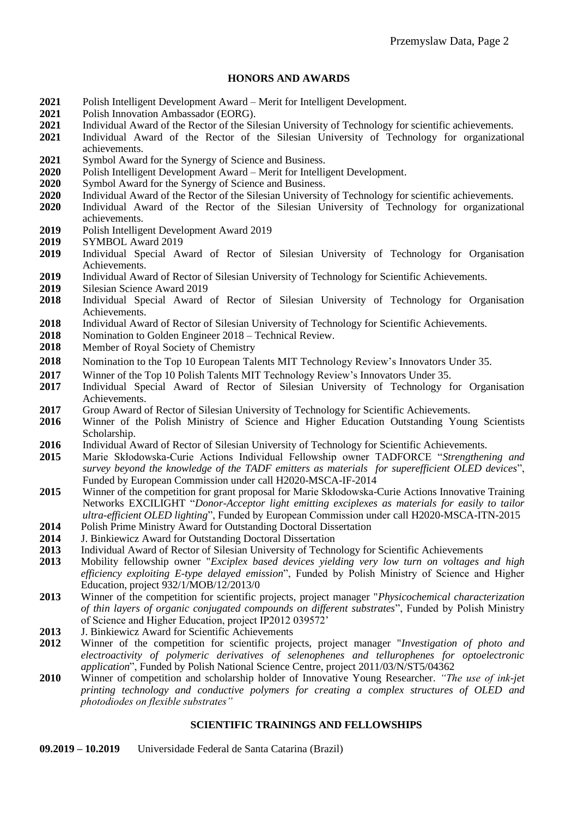# **HONORS AND AWARDS**

- 2021 Polish Intelligent Development Award Merit for Intelligent Development.<br>2021 Polish Innovation Ambassador (FORG)
- **2021** Polish Innovation Ambassador (EORG).
- **2021** Individual Award of the Rector of the Silesian University of Technology for scientific achievements.
- **2021** Individual Award of the Rector of the Silesian University of Technology for organizational achievements.
- **2021** Symbol Award for the Synergy of Science and Business.
- **2020** Polish Intelligent Development Award Merit for Intelligent Development.
- **2020** Symbol Award for the Synergy of Science and Business.
- **2020** Individual Award of the Rector of the Silesian University of Technology for scientific achievements.
- **2020** Individual Award of the Rector of the Silesian University of Technology for organizational achievements.
- **2019** Polish Intelligent Development Award 2019
- **2019** SYMBOL Award 2019
- **2019** Individual Special Award of Rector of Silesian University of Technology for Organisation Achievements.
- **2019** Individual Award of Rector of Silesian University of Technology for Scientific Achievements.
- 2019 Silesian Science Award 2019
- **2018** Individual Special Award of Rector of Silesian University of Technology for Organisation Achievements.
- **2018** Individual Award of Rector of Silesian University of Technology for Scientific Achievements.
- **2018** Nomination to Golden Engineer 2018 Technical Review.
- **2018** Member of Royal Society of Chemistry
- **2018** Nomination to the Top 10 European Talents MIT Technology Review's Innovators Under 35.
- **2017** Winner of the Top 10 Polish Talents MIT Technology Review's Innovators Under 35.
- **2017** Individual Special Award of Rector of Silesian University of Technology for Organisation Achievements.
- 2017 Group Award of Rector of Silesian University of Technology for Scientific Achievements.
- **2016** Winner of the Polish Ministry of Science and Higher Education Outstanding Young Scientists Scholarship.
- 2016 Individual Award of Rector of Silesian University of Technology for Scientific Achievements.
- **2015** Marie Skłodowska-Curie Actions Individual Fellowship owner TADFORCE "*Strengthening and survey beyond the knowledge of the TADF emitters as materials for superefficient OLED devices*", Funded by European Commission under call H2020-MSCA-IF-2014
- **2015** Winner of the competition for grant proposal for Marie Skłodowska-Curie Actions Innovative Training Networks EXCILIGHT "*Donor-Acceptor light emitting exciplexes as materials for easily to tailor ultra-efficient OLED lighting*", Funded by European Commission under call H2020-MSCA-ITN-2015
- **2014** Polish Prime Ministry Award for Outstanding Doctoral Dissertation
- **2014** J. Binkiewicz Award for Outstanding Doctoral Dissertation
- **2013** Individual Award of Rector of Silesian University of Technology for Scientific Achievements
- **2013** Mobility fellowship owner "*Exciplex based devices yielding very low turn on voltages and high efficiency exploiting E-type delayed emission*", Funded by Polish Ministry of Science and Higher Education, project 932/1/MOB/12/2013/0
- **2013** Winner of the competition for scientific projects, project manager "*Physicochemical characterization of thin layers of organic conjugated compounds on different substrates*", Funded by Polish Ministry of Science and Higher Education, project IP2012 039572'
- **2013** J. Binkiewicz Award for Scientific Achievements
- **2012** Winner of the competition for scientific projects, project manager "*Investigation of photo and electroactivity of polymeric derivatives of selenophenes and tellurophenes for optoelectronic application*", Funded by Polish National Science Centre, project 2011/03/N/ST5/04362
- **2010** Winner of competition and scholarship holder of Innovative Young Researcher. *"The use of ink-jet printing technology and conductive polymers for creating a complex structures of OLED and photodiodes on flexible substrates"*

#### **SCIENTIFIC TRAININGS AND FELLOWSHIPS**

**09.2019 – 10.2019** Universidade Federal de Santa Catarina (Brazil)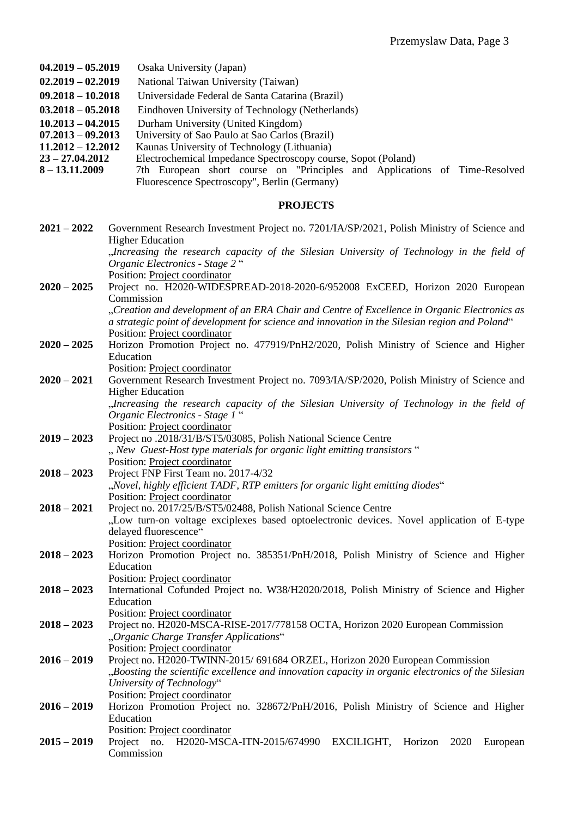- **04.2019 – 05.2019** Osaka University (Japan)
- **02.2019 – 02.2019** National Taiwan University (Taiwan)
- **09.2018 – 10.2018** Universidade Federal de Santa Catarina (Brazil)
- **03.2018 – 05.2018** Eindhoven University of Technology (Netherlands)
- 
- **10.2013 – 04.2015** Durham University (United Kingdom) **07.2013 – 09.2013** University of Sao Paulo at Sao Carlos (Brazil)
- **11.2012 – 12.2012** Kaunas University of Technology (Lithuania)
- **23 – 27.04.2012** Electrochemical Impedance Spectroscopy course, Sopot (Poland)
- **8 – 13.11.2009** 7th European short course on "Principles and Applications of Time-Resolved Fluorescence Spectroscopy", Berlin (Germany)

#### **PROJECTS**

| $2021 - 2022$ | Government Research Investment Project no. 7201/IA/SP/2021, Polish Ministry of Science and<br><b>Higher Education</b> |
|---------------|-----------------------------------------------------------------------------------------------------------------------|
|               | "Increasing the research capacity of the Silesian University of Technology in the field of                            |
|               | Organic Electronics - Stage 2"                                                                                        |
|               | Position: Project coordinator                                                                                         |
| $2020 - 2025$ | Project no. H2020-WIDESPREAD-2018-2020-6/952008 ExCEED, Horizon 2020 European                                         |
|               | Commission                                                                                                            |
|               | "Creation and development of an ERA Chair and Centre of Excellence in Organic Electronics as                          |
|               | a strategic point of development for science and innovation in the Silesian region and Poland"                        |
|               | Position: Project coordinator                                                                                         |
| $2020 - 2025$ | Horizon Promotion Project no. 477919/PnH2/2020, Polish Ministry of Science and Higher                                 |
|               | Education                                                                                                             |
|               | Position: Project coordinator                                                                                         |
| $2020 - 2021$ | Government Research Investment Project no. 7093/IA/SP/2020, Polish Ministry of Science and                            |
|               | <b>Higher Education</b>                                                                                               |
|               | "Increasing the research capacity of the Silesian University of Technology in the field of                            |
|               | Organic Electronics - Stage 1"<br>Position: Project coordinator                                                       |
| $2019 - 2023$ | Project no .2018/31/B/ST5/03085, Polish National Science Centre                                                       |
|               | " New Guest-Host type materials for organic light emitting transistors "                                              |
|               | Position: Project coordinator                                                                                         |
| $2018 - 2023$ | Project FNP First Team no. 2017-4/32                                                                                  |
|               | "Novel, highly efficient TADF, RTP emitters for organic light emitting diodes"                                        |
|               | Position: Project coordinator                                                                                         |
| $2018 - 2021$ | Project no. 2017/25/B/ST5/02488, Polish National Science Centre                                                       |
|               | "Low turn-on voltage exciplexes based optoelectronic devices. Novel application of E-type                             |
|               | delayed fluorescence"                                                                                                 |
|               | Position: Project coordinator                                                                                         |
| $2018 - 2023$ | Horizon Promotion Project no. 385351/PnH/2018, Polish Ministry of Science and Higher                                  |
|               | Education                                                                                                             |
|               | Position: Project coordinator                                                                                         |
| $2018 - 2023$ | International Cofunded Project no. W38/H2020/2018, Polish Ministry of Science and Higher                              |
|               | Education                                                                                                             |
|               | Position: Project coordinator                                                                                         |
| $2018 - 2023$ | Project no. H2020-MSCA-RISE-2017/778158 OCTA, Horizon 2020 European Commission                                        |
|               | "Organic Charge Transfer Applications"                                                                                |
|               | Position: Project coordinator                                                                                         |
| $2016 - 2019$ | Project no. H2020-TWINN-2015/ 691684 ORZEL, Horizon 2020 European Commission                                          |
|               | "Boosting the scientific excellence and innovation capacity in organic electronics of the Silesian                    |
|               | University of Technology"                                                                                             |
|               | Position: Project coordinator                                                                                         |
| $2016 - 2019$ | Horizon Promotion Project no. 328672/PnH/2016, Polish Ministry of Science and Higher                                  |
|               | Education                                                                                                             |
|               | Position: Project coordinator                                                                                         |
| $2015 - 2019$ | H2020-MSCA-ITN-2015/674990<br>Project no.<br>EXCILIGHT,<br>Horizon<br>2020<br>European                                |
|               | Commission                                                                                                            |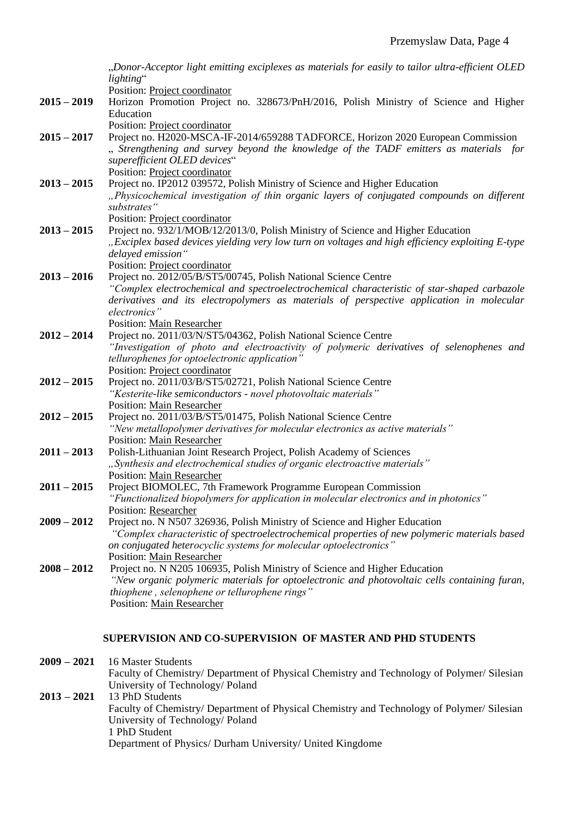|               | "Donor-Acceptor light emitting exciplexes as materials for easily to tailor ultra-efficient OLED                                                                                                                                                                                             |
|---------------|----------------------------------------------------------------------------------------------------------------------------------------------------------------------------------------------------------------------------------------------------------------------------------------------|
|               | lighting"<br>Position: Project coordinator                                                                                                                                                                                                                                                   |
| $2015 - 2019$ | Horizon Promotion Project no. 328673/PnH/2016, Polish Ministry of Science and Higher<br>Education                                                                                                                                                                                            |
| $2015 - 2017$ | Position: Project coordinator<br>Project no. H2020-MSCA-IF-2014/659288 TADFORCE, Horizon 2020 European Commission<br>"Strengthening and survey beyond the knowledge of the TADF emitters as materials for<br>superefficient OLED devices"                                                    |
| $2013 - 2015$ | Position: Project coordinator<br>Project no. IP2012 039572, Polish Ministry of Science and Higher Education<br>"Physicochemical investigation of thin organic layers of conjugated compounds on different<br>substrates"                                                                     |
| $2013 - 2015$ | Position: Project coordinator<br>Project no. 932/1/MOB/12/2013/0, Polish Ministry of Science and Higher Education<br>"Exciplex based devices yielding very low turn on voltages and high efficiency exploiting E-type<br>delayed emission"                                                   |
| $2013 - 2016$ | Position: Project coordinator<br>Project no. 2012/05/B/ST5/00745, Polish National Science Centre<br>"Complex electrochemical and spectroelectrochemical characteristic of star-shaped carbazole<br>derivatives and its electropolymers as materials of perspective application in molecular  |
| $2012 - 2014$ | electronics"<br>Position: Main Researcher<br>Project no. 2011/03/N/ST5/04362, Polish National Science Centre<br>"Investigation of photo and electroactivity of polymeric derivatives of selenophenes and<br>tellurophenes for optoelectronic application"                                    |
| $2012 - 2015$ | Position: Project coordinator<br>Project no. 2011/03/B/ST5/02721, Polish National Science Centre<br>"Kesterite-like semiconductors - novel photovoltaic materials"                                                                                                                           |
| $2012 - 2015$ | <b>Position: Main Researcher</b><br>Project no. 2011/03/B/ST5/01475, Polish National Science Centre<br>"New metallopolymer derivatives for molecular electronics as active materials"<br><b>Position: Main Researcher</b>                                                                    |
| $2011 - 2013$ | Polish-Lithuanian Joint Research Project, Polish Academy of Sciences<br>"Synthesis and electrochemical studies of organic electroactive materials"<br>Position: Main Researcher                                                                                                              |
| $2011 - 2015$ | Project BIOMOLEC, 7th Framework Programme European Commission<br>"Functionalized biopolymers for application in molecular electronics and in photonics"<br>Position: Researcher                                                                                                              |
| $2009 - 2012$ | Project no. N N507 326936, Polish Ministry of Science and Higher Education<br>"Complex characteristic of spectroelectrochemical properties of new polymeric materials based<br>on conjugated heterocyclic systems for molecular optoelectronics"                                             |
| $2008 - 2012$ | Position: Main Researcher<br>Project no. N N205 106935, Polish Ministry of Science and Higher Education<br>"New organic polymeric materials for optoelectronic and photovoltaic cells containing furan,<br>thiophene, selenophene or tellurophene rings"<br><b>Position: Main Researcher</b> |

# **SUPERVISION AND CO-SUPERVISION OF MASTER AND PHD STUDENTS**

**2009 – 2021** 16 Master Students Faculty of Chemistry/ Department of Physical Chemistry and Technology of Polymer/ Silesian University of Technology/ Poland **2013 – 2021** 13 PhD Students Faculty of Chemistry/ Department of Physical Chemistry and Technology of Polymer/ Silesian University of Technology/ Poland 1 PhD Student Department of Physics/ Durham University/ United Kingdome